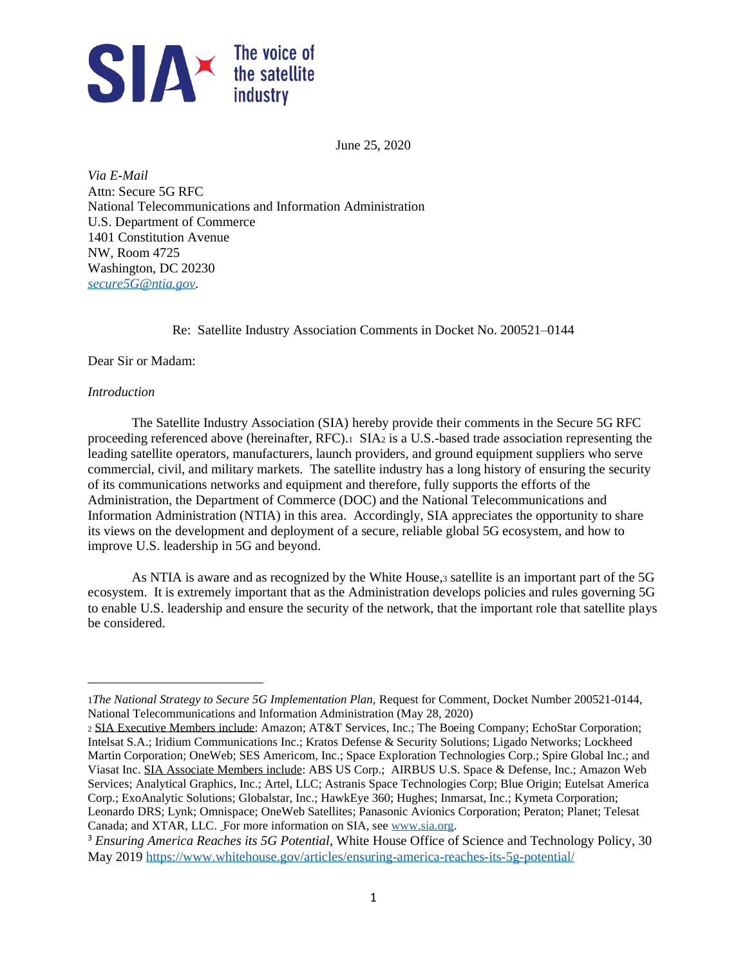

June 25, 2020

*Via E-Mail* Attn: Secure 5G RFC National Telecommunications and Information Administration U.S. Department of Commerce 1401 Constitution Avenue NW, Room 4725 Washington, DC 20230 *[secure5G@ntia.gov.](mailto:secure5G@ntia.gov)* 

Re: Satellite Industry Association Comments in Docket No. 200521–0144

Dear Sir or Madam:

### *Introduction*

The Satellite Industry Association (SIA) hereby provide their comments in the Secure 5G RFC proceeding referenced above (hereinafter, RFC).1 SIA<sup>2</sup> is a U.S.-based trade association representing the leading satellite operators, manufacturers, launch providers, and ground equipment suppliers who serve commercial, civil, and military markets. The satellite industry has a long history of ensuring the security of its communications networks and equipment and therefore, fully supports the efforts of the Administration, the Department of Commerce (DOC) and the National Telecommunications and Information Administration (NTIA) in this area. Accordingly, SIA appreciates the opportunity to share its views on the development and deployment of a secure, reliable global 5G ecosystem, and how to improve U.S. leadership in 5G and beyond.

As NTIA is aware and as recognized by the White House, 3 satellite is an important part of the 5G ecosystem. It is extremely important that as the Administration develops policies and rules governing 5G to enable U.S. leadership and ensure the security of the network, that the important role that satellite plays be considered.

<sup>1</sup>*The National Strategy to Secure 5G Implementation Plan,* Request for Comment, Docket Number 200521-0144, National Telecommunications and Information Administration (May 28, 2020)

<sup>2</sup> SIA Executive Members include: Amazon; AT&T Services, Inc.; The Boeing Company; EchoStar Corporation; Intelsat S.A.; Iridium Communications Inc.; Kratos Defense & Security Solutions; Ligado Networks; Lockheed Martin Corporation; OneWeb; SES Americom, Inc.; Space Exploration Technologies Corp.; Spire Global Inc.; and Viasat Inc. SIA Associate Members include: ABS US Corp.; AIRBUS U.S. Space & Defense, Inc.; Amazon Web Services; Analytical Graphics, Inc.; Artel, LLC; Astranis Space Technologies Corp; Blue Origin; Eutelsat America Corp.; ExoAnalytic Solutions; Globalstar, Inc.; HawkEye 360; Hughes; Inmarsat, Inc.; Kymeta Corporation; Leonardo DRS; Lynk; Omnispace; OneWeb Satellites; Panasonic Avionics Corporation; Peraton; Planet; Telesat Canada; and XTAR, LLC. For more information on SIA, see [www.sia.org.](http://www.sia.org/)

<sup>3</sup> *Ensuring America Reaches its 5G Potential*, White House Office of Science and Technology Policy, 30 May 201[9 https://www.whitehouse.gov/articles/ensuring-america-reaches-its-5g-potential/](https://www.whitehouse.gov/articles/ensuring-america-reaches-its-5g-potential/)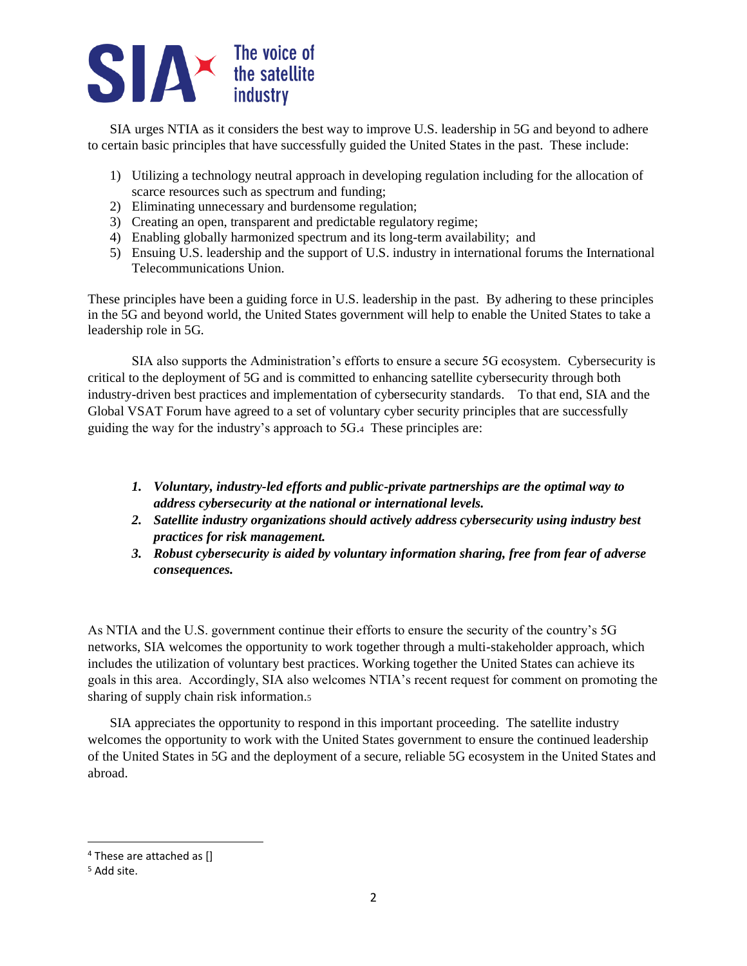

SIA urges NTIA as it considers the best way to improve U.S. leadership in 5G and beyond to adhere to certain basic principles that have successfully guided the United States in the past. These include:

- 1) Utilizing a technology neutral approach in developing regulation including for the allocation of scarce resources such as spectrum and funding;
- 2) Eliminating unnecessary and burdensome regulation;
- 3) Creating an open, transparent and predictable regulatory regime;
- 4) Enabling globally harmonized spectrum and its long-term availability; and
- 5) Ensuing U.S. leadership and the support of U.S. industry in international forums the International Telecommunications Union.

These principles have been a guiding force in U.S. leadership in the past. By adhering to these principles in the 5G and beyond world, the United States government will help to enable the United States to take a leadership role in 5G.

SIA also supports the Administration's efforts to ensure a secure 5G ecosystem. Cybersecurity is critical to the deployment of 5G and is committed to enhancing satellite cybersecurity through both industry-driven best practices and implementation of cybersecurity standards. To that end, SIA and the Global VSAT Forum have agreed to a set of voluntary cyber security principles that are successfully guiding the way for the industry's approach to 5G.4 These principles are:

- *1. Voluntary, industry-led efforts and public-private partnerships are the optimal way to address cybersecurity at the national or international levels.*
- *2. Satellite industry organizations should actively address cybersecurity using industry best practices for risk management.*
- *3. Robust cybersecurity is aided by voluntary information sharing, free from fear of adverse consequences.*

As NTIA and the U.S. government continue their efforts to ensure the security of the country's 5G networks, SIA welcomes the opportunity to work together through a multi-stakeholder approach, which includes the utilization of voluntary best practices. Working together the United States can achieve its goals in this area. Accordingly, SIA also welcomes NTIA's recent request for comment on promoting the sharing of supply chain risk information.<sup>5</sup>

SIA appreciates the opportunity to respond in this important proceeding. The satellite industry welcomes the opportunity to work with the United States government to ensure the continued leadership of the United States in 5G and the deployment of a secure, reliable 5G ecosystem in the United States and abroad.

<sup>4</sup> These are attached as []

<sup>5</sup> Add site.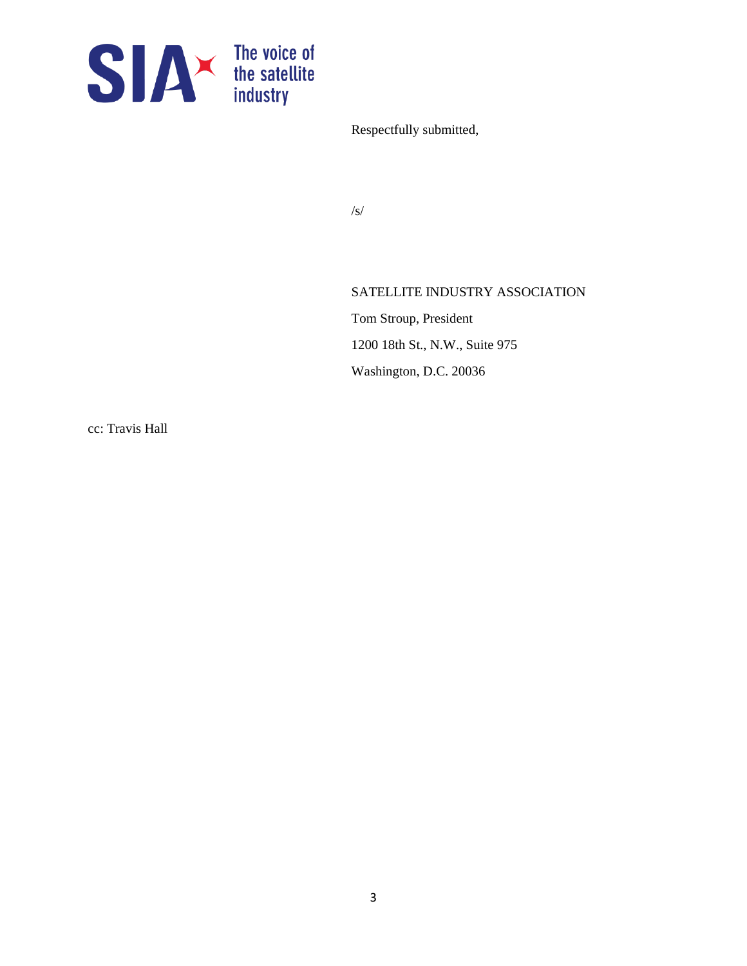

Respectfully submitted,

/s/

### SATELLITE INDUSTRY ASSOCIATION

Tom Stroup, President 1200 18th St., N.W., Suite 975 Washington, D.C. 20036

cc: Travis Hall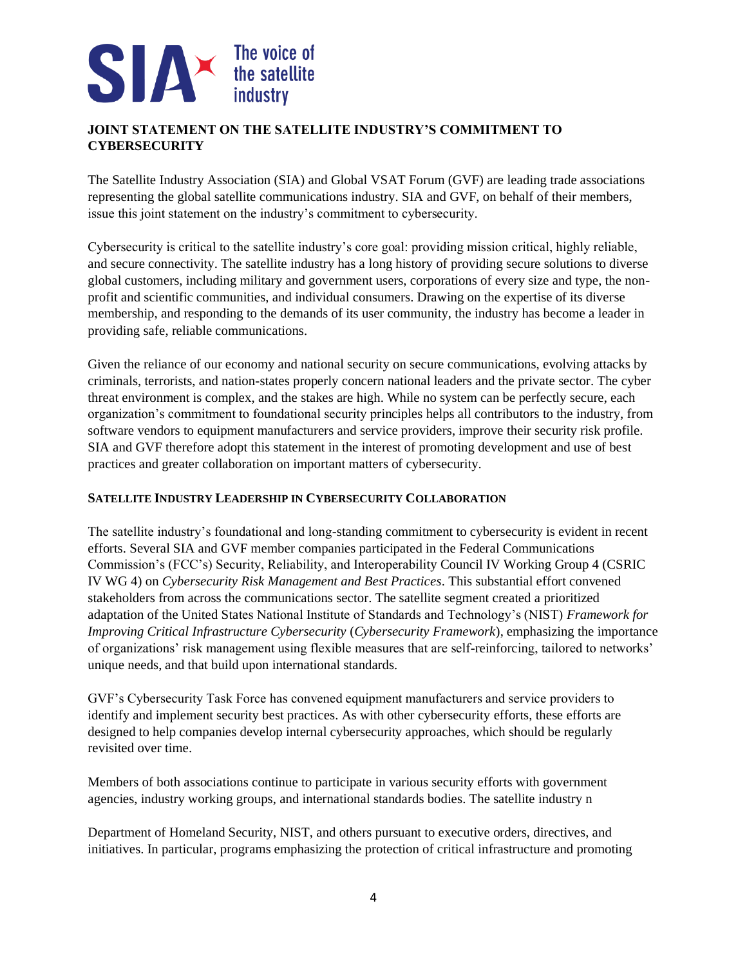## **JOINT STATEMENT ON THE SATELLITE INDUSTRY'S COMMITMENT TO CYBERSECURITY**

The Satellite Industry Association (SIA) and Global VSAT Forum (GVF) are leading trade associations representing the global satellite communications industry. SIA and GVF, on behalf of their members, issue this joint statement on the industry's commitment to cybersecurity.

Cybersecurity is critical to the satellite industry's core goal: providing mission critical, highly reliable, and secure connectivity. The satellite industry has a long history of providing secure solutions to diverse global customers, including military and government users, corporations of every size and type, the nonprofit and scientific communities, and individual consumers. Drawing on the expertise of its diverse membership, and responding to the demands of its user community, the industry has become a leader in providing safe, reliable communications.

Given the reliance of our economy and national security on secure communications, evolving attacks by criminals, terrorists, and nation-states properly concern national leaders and the private sector. The cyber threat environment is complex, and the stakes are high. While no system can be perfectly secure, each organization's commitment to foundational security principles helps all contributors to the industry, from software vendors to equipment manufacturers and service providers, improve their security risk profile. SIA and GVF therefore adopt this statement in the interest of promoting development and use of best practices and greater collaboration on important matters of cybersecurity.

### **SATELLITE INDUSTRY LEADERSHIP IN CYBERSECURITY COLLABORATION**

The satellite industry's foundational and long-standing commitment to cybersecurity is evident in recent efforts. Several SIA and GVF member companies participated in the Federal Communications Commission's (FCC's) Security, Reliability, and Interoperability Council IV Working Group 4 (CSRIC IV WG 4) on *Cybersecurity Risk Management and Best Practices*. This substantial effort convened stakeholders from across the communications sector. The satellite segment created a prioritized adaptation of the United States National Institute of Standards and Technology's (NIST) *Framework for Improving Critical Infrastructure Cybersecurity* (*Cybersecurity Framework*), emphasizing the importance of organizations' risk management using flexible measures that are self-reinforcing, tailored to networks' unique needs, and that build upon international standards.

GVF's Cybersecurity Task Force has convened equipment manufacturers and service providers to identify and implement security best practices. As with other cybersecurity efforts, these efforts are designed to help companies develop internal cybersecurity approaches, which should be regularly revisited over time.

Members of both associations continue to participate in various security efforts with government agencies, industry working groups, and international standards bodies. The satellite industry n

Department of Homeland Security, NIST, and others pursuant to executive orders, directives, and initiatives. In particular, programs emphasizing the protection of critical infrastructure and promoting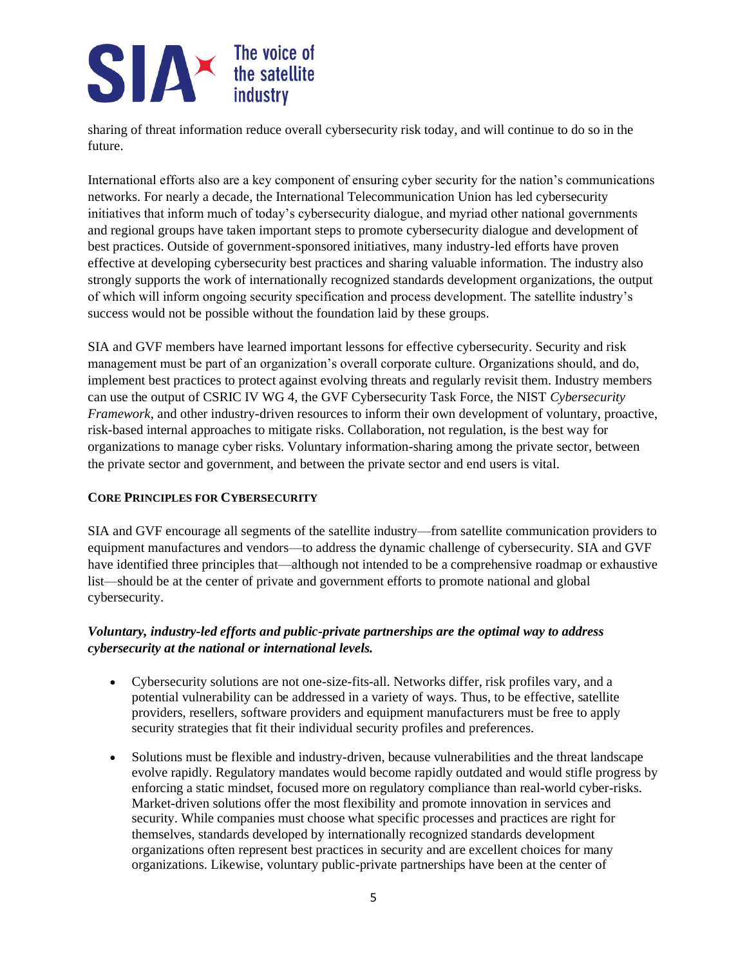sharing of threat information reduce overall cybersecurity risk today, and will continue to do so in the future.

International efforts also are a key component of ensuring cyber security for the nation's communications networks. For nearly a decade, the International Telecommunication Union has led cybersecurity initiatives that inform much of today's cybersecurity dialogue, and myriad other national governments and regional groups have taken important steps to promote cybersecurity dialogue and development of best practices. Outside of government-sponsored initiatives, many industry-led efforts have proven effective at developing cybersecurity best practices and sharing valuable information. The industry also strongly supports the work of internationally recognized standards development organizations, the output of which will inform ongoing security specification and process development. The satellite industry's success would not be possible without the foundation laid by these groups.

SIA and GVF members have learned important lessons for effective cybersecurity. Security and risk management must be part of an organization's overall corporate culture. Organizations should, and do, implement best practices to protect against evolving threats and regularly revisit them. Industry members can use the output of CSRIC IV WG 4, the GVF Cybersecurity Task Force, the NIST *Cybersecurity Framework*, and other industry-driven resources to inform their own development of voluntary, proactive, risk-based internal approaches to mitigate risks. Collaboration, not regulation, is the best way for organizations to manage cyber risks. Voluntary information-sharing among the private sector, between the private sector and government, and between the private sector and end users is vital.

### **CORE PRINCIPLES FOR CYBERSECURITY**

SIA and GVF encourage all segments of the satellite industry—from satellite communication providers to equipment manufactures and vendors—to address the dynamic challenge of cybersecurity. SIA and GVF have identified three principles that—although not intended to be a comprehensive roadmap or exhaustive list—should be at the center of private and government efforts to promote national and global cybersecurity.

### *Voluntary, industry-led efforts and public-private partnerships are the optimal way to address cybersecurity at the national or international levels.*

- Cybersecurity solutions are not one-size-fits-all. Networks differ, risk profiles vary, and a potential vulnerability can be addressed in a variety of ways. Thus, to be effective, satellite providers, resellers, software providers and equipment manufacturers must be free to apply security strategies that fit their individual security profiles and preferences.
- Solutions must be flexible and industry-driven, because vulnerabilities and the threat landscape evolve rapidly. Regulatory mandates would become rapidly outdated and would stifle progress by enforcing a static mindset, focused more on regulatory compliance than real-world cyber-risks. Market-driven solutions offer the most flexibility and promote innovation in services and security. While companies must choose what specific processes and practices are right for themselves, standards developed by internationally recognized standards development organizations often represent best practices in security and are excellent choices for many organizations. Likewise, voluntary public-private partnerships have been at the center of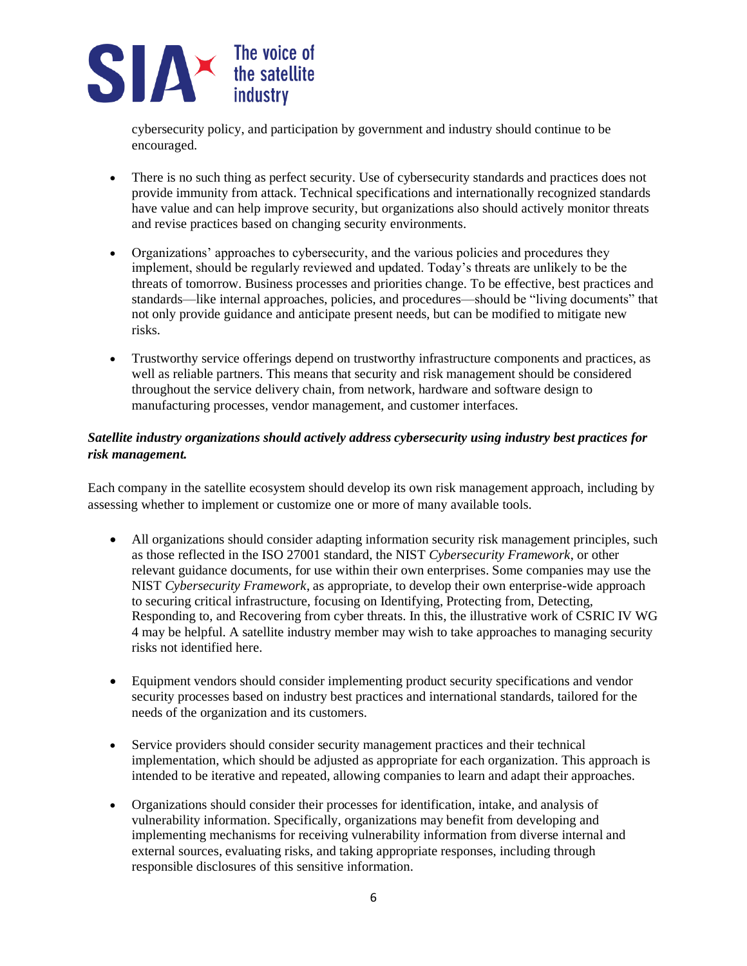cybersecurity policy, and participation by government and industry should continue to be encouraged.

- There is no such thing as perfect security. Use of cybersecurity standards and practices does not provide immunity from attack. Technical specifications and internationally recognized standards have value and can help improve security, but organizations also should actively monitor threats and revise practices based on changing security environments.
- Organizations' approaches to cybersecurity, and the various policies and procedures they implement, should be regularly reviewed and updated. Today's threats are unlikely to be the threats of tomorrow. Business processes and priorities change. To be effective, best practices and standards—like internal approaches, policies, and procedures—should be "living documents" that not only provide guidance and anticipate present needs, but can be modified to mitigate new risks.
- Trustworthy service offerings depend on trustworthy infrastructure components and practices, as well as reliable partners. This means that security and risk management should be considered throughout the service delivery chain, from network, hardware and software design to manufacturing processes, vendor management, and customer interfaces.

### *Satellite industry organizations should actively address cybersecurity using industry best practices for risk management.*

Each company in the satellite ecosystem should develop its own risk management approach, including by assessing whether to implement or customize one or more of many available tools.

- All organizations should consider adapting information security risk management principles, such as those reflected in the ISO 27001 standard, the NIST *Cybersecurity Framework*, or other relevant guidance documents, for use within their own enterprises. Some companies may use the NIST *Cybersecurity Framework*, as appropriate, to develop their own enterprise-wide approach to securing critical infrastructure, focusing on Identifying, Protecting from, Detecting, Responding to, and Recovering from cyber threats. In this, the illustrative work of CSRIC IV WG 4 may be helpful. A satellite industry member may wish to take approaches to managing security risks not identified here.
- Equipment vendors should consider implementing product security specifications and vendor security processes based on industry best practices and international standards, tailored for the needs of the organization and its customers.
- Service providers should consider security management practices and their technical implementation, which should be adjusted as appropriate for each organization. This approach is intended to be iterative and repeated, allowing companies to learn and adapt their approaches.
- Organizations should consider their processes for identification, intake, and analysis of vulnerability information. Specifically, organizations may benefit from developing and implementing mechanisms for receiving vulnerability information from diverse internal and external sources, evaluating risks, and taking appropriate responses, including through responsible disclosures of this sensitive information.